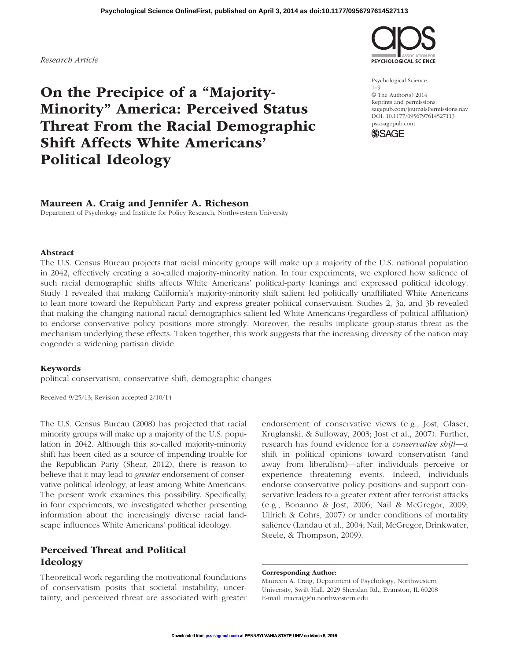Maureen A. Craig, Department of Psychology, Northwestern University, Swift Hall, 2029 Sheridan Rd., Evanston, IL 60208 E-mail: macraig@u.northwestern.edu

#### **Psychological Science OnlineFirst, published on April 3, 2014 as doi:10.1177/0956797614527113**

# On the Precipice of a "Majority-Minority" America: Perceived Status Threat From the Racial Demographic Shift Affects White Americans' Political Ideology

Abstract The U.S. Census Bureau projects that racial minority groups will make up a majority of the U.S. national population in 2042, effectively creating a so-called majority-minority nation. In four experiments, we explored how salience of such racial demographic shifts affects White Americans' political-party leanings and expressed political ideology. Study 1 revealed that making California's majority-minority shift salient led politically unaffiliated White Americans to lean more toward the Republican Party and express greater political conservatism. Studies 2, 3a, and 3b revealed

that making the changing national racial demographics salient led White Americans (regardless of political affiliation) to endorse conservative policy positions more strongly. Moreover, the results implicate group-status threat as the mechanism underlying these effects. Taken together, this work suggests that the increasing diversity of the nation may engender a widening partisan divide.

# Keywords

political conservatism, conservative shift, demographic changes

Maureen A. Craig and Jennifer A. Richeson

Department of Psychology and Institute for Policy Research, Northwestern University

Received 9/25/13; Revision accepted 2/10/14

The U.S. Census Bureau (2008) has projected that racial minority groups will make up a majority of the U.S. population in 2042. Although this so-called majority-minority shift has been cited as a source of impending trouble for the Republican Party (Shear, 2012), there is reason to believe that it may lead to *greater* endorsement of conservative political ideology, at least among White Americans. The present work examines this possibility. Specifically, in four experiments, we investigated whether presenting information about the increasingly diverse racial landscape influences White Americans' political ideology.

# Perceived Threat and Political Ideology

Theoretical work regarding the motivational foundations of conservatism posits that societal instability, uncertainty, and perceived threat are associated with greater

Kruglanski, & Sulloway, 2003; Jost et al., 2007). Further, research has found evidence for a *conservative shift*—a shift in political opinions toward conservatism (and away from liberalism)—after individuals perceive or experience threatening events. Indeed, individuals endorse conservative policy positions and support conservative leaders to a greater extent after terrorist attacks (e.g., Bonanno & Jost, 2006; Nail & McGregor, 2009; Ullrich & Cohrs, 2007) or under conditions of mortality salience (Landau et al., 2004; Nail, McGregor, Drinkwater, Steele, & Thompson, 2009).

endorsement of conservative views (e.g., Jost, Glaser,

Psychological Science 1–9 © The Author(s) 2014 Reprints and permissions: sagepub.com/journalsPermissions.nav DOI: 10.1177/0956797614527113 pss.sagepub.com





**SYCHOLOGICAL SCIENCE** 

*Research Article*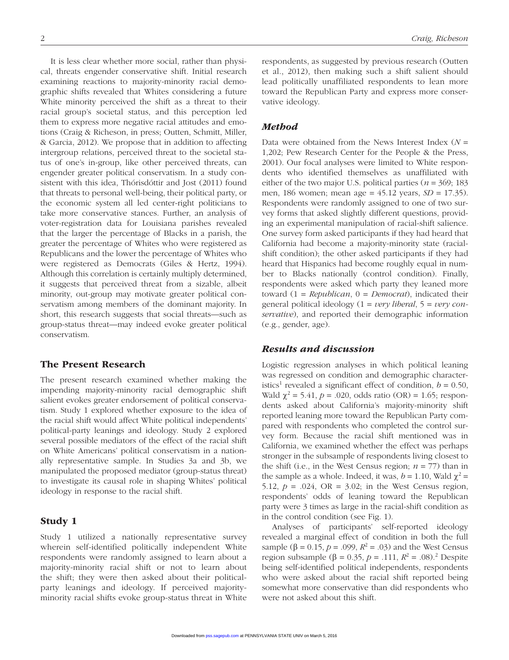It is less clear whether more social, rather than physical, threats engender conservative shift. Initial research examining reactions to majority-minority racial demographic shifts revealed that Whites considering a future White minority perceived the shift as a threat to their racial group's societal status, and this perception led them to express more negative racial attitudes and emotions (Craig & Richeson, in press; Outten, Schmitt, Miller, & Garcia, 2012). We propose that in addition to affecting intergroup relations, perceived threat to the societal status of one's in-group, like other perceived threats, can engender greater political conservatism. In a study consistent with this idea, Thórisdóttir and Jost (2011) found that threats to personal well-being, their political party, or the economic system all led center-right politicians to take more conservative stances. Further, an analysis of voter-registration data for Louisiana parishes revealed that the larger the percentage of Blacks in a parish, the greater the percentage of Whites who were registered as Republicans and the lower the percentage of Whites who were registered as Democrats (Giles & Hertz, 1994). Although this correlation is certainly multiply determined, it suggests that perceived threat from a sizable, albeit minority, out-group may motivate greater political conservatism among members of the dominant majority. In short, this research suggests that social threats—such as group-status threat—may indeed evoke greater political conservatism.

# The Present Research

The present research examined whether making the impending majority-minority racial demographic shift salient evokes greater endorsement of political conservatism. Study 1 explored whether exposure to the idea of the racial shift would affect White political independents' political-party leanings and ideology. Study 2 explored several possible mediators of the effect of the racial shift on White Americans' political conservatism in a nationally representative sample. In Studies 3a and 3b, we manipulated the proposed mediator (group-status threat) to investigate its causal role in shaping Whites' political ideology in response to the racial shift.

# Study 1

Study 1 utilized a nationally representative survey wherein self-identified politically independent White respondents were randomly assigned to learn about a majority-minority racial shift or not to learn about the shift; they were then asked about their politicalparty leanings and ideology. If perceived majorityminority racial shifts evoke group-status threat in White

respondents, as suggested by previous research (Outten et al., 2012), then making such a shift salient should lead politically unaffiliated respondents to lean more toward the Republican Party and express more conservative ideology.

# *Method*

Data were obtained from the News Interest Index (*N* = 1,202; Pew Research Center for the People & the Press, 2001). Our focal analyses were limited to White respondents who identified themselves as unaffiliated with either of the two major U.S. political parties ( $n = 369$ ; 183 men, 186 women; mean age = 45.12 years, *SD* = 17.35). Respondents were randomly assigned to one of two survey forms that asked slightly different questions, providing an experimental manipulation of racial-shift salience. One survey form asked participants if they had heard that California had become a majority-minority state (racialshift condition); the other asked participants if they had heard that Hispanics had become roughly equal in number to Blacks nationally (control condition). Finally, respondents were asked which party they leaned more toward (1 = *Republican*, 0 = *Democrat*), indicated their general political ideology (1 = *very liberal*, 5 = *very conservative*), and reported their demographic information (e.g., gender, age).

# *Results and discussion*

Logistic regression analyses in which political leaning was regressed on condition and demographic characteristics<sup>1</sup> revealed a significant effect of condition,  $b = 0.50$ , Wald  $\chi^2 = 5.41$ ,  $p = .020$ , odds ratio (OR) = 1.65; respondents asked about California's majority-minority shift reported leaning more toward the Republican Party compared with respondents who completed the control survey form. Because the racial shift mentioned was in California, we examined whether the effect was perhaps stronger in the subsample of respondents living closest to the shift (i.e., in the West Census region;  $n = 77$ ) than in the sample as a whole. Indeed, it was,  $b = 1.10$ , Wald  $\chi^2 =$ 5.12,  $p = .024$ ,  $OR = 3.02$ ; in the West Census region, respondents' odds of leaning toward the Republican party were 3 times as large in the racial-shift condition as in the control condition (see Fig. 1).

Analyses of participants' self-reported ideology revealed a marginal effect of condition in both the full sample (β = 0.15, *p* = .099,  $R^2$  = .03) and the West Census region subsample (β = 0.35, *p* = .111,  $R^2$  = .08).<sup>2</sup> Despite being self-identified political independents, respondents who were asked about the racial shift reported being somewhat more conservative than did respondents who were not asked about this shift.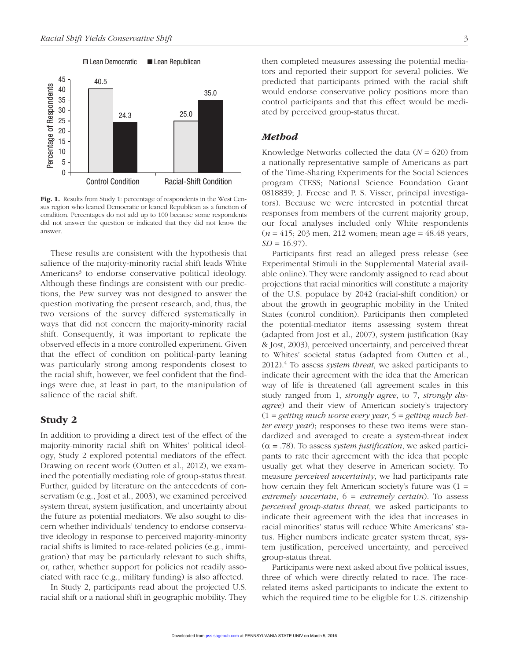

Fig. 1. Results from Study 1: percentage of respondents in the West Census region who leaned Democratic or leaned Republican as a function of condition. Percentages do not add up to 100 because some respondents did not answer the question or indicated that they did not know the answer.

These results are consistent with the hypothesis that salience of the majority-minority racial shift leads White Americans<sup>3</sup> to endorse conservative political ideology. Although these findings are consistent with our predictions, the Pew survey was not designed to answer the question motivating the present research, and, thus, the two versions of the survey differed systematically in ways that did not concern the majority-minority racial shift. Consequently, it was important to replicate the observed effects in a more controlled experiment. Given that the effect of condition on political-party leaning was particularly strong among respondents closest to the racial shift, however, we feel confident that the findings were due, at least in part, to the manipulation of salience of the racial shift.

# Study 2

In addition to providing a direct test of the effect of the majority-minority racial shift on Whites' political ideology, Study 2 explored potential mediators of the effect. Drawing on recent work (Outten et al., 2012), we examined the potentially mediating role of group-status threat. Further, guided by literature on the antecedents of conservatism (e.g., Jost et al., 2003), we examined perceived system threat, system justification, and uncertainty about the future as potential mediators. We also sought to discern whether individuals' tendency to endorse conservative ideology in response to perceived majority-minority racial shifts is limited to race-related policies (e.g., immigration) that may be particularly relevant to such shifts, or, rather, whether support for policies not readily associated with race (e.g., military funding) is also affected.

In Study 2, participants read about the projected U.S. racial shift or a national shift in geographic mobility. They then completed measures assessing the potential mediators and reported their support for several policies. We predicted that participants primed with the racial shift would endorse conservative policy positions more than control participants and that this effect would be mediated by perceived group-status threat.

# *Method*

Knowledge Networks collected the data (*N* = 620) from a nationally representative sample of Americans as part of the Time-Sharing Experiments for the Social Sciences program (TESS; National Science Foundation Grant 0818839; J. Freese and P. S. Visser, principal investigators). Because we were interested in potential threat responses from members of the current majority group, our focal analyses included only White respondents (*n* = 415; 203 men, 212 women; mean age = 48.48 years,  $SD = 16.97$ .

Participants first read an alleged press release (see Experimental Stimuli in the Supplemental Material available online). They were randomly assigned to read about projections that racial minorities will constitute a majority of the U.S. populace by 2042 (racial-shift condition) or about the growth in geographic mobility in the United States (control condition). Participants then completed the potential-mediator items assessing system threat (adapted from Jost et al., 2007), system justification (Kay & Jost, 2003), perceived uncertainty, and perceived threat to Whites' societal status (adapted from Outten et al., 2012).4 To assess *system threat*, we asked participants to indicate their agreement with the idea that the American way of life is threatened (all agreement scales in this study ranged from 1, *strongly agree*, to 7, *strongly disagree*) and their view of American society's trajectory (1 = *getting much worse every year*, 5 = *getting much better every year*); responses to these two items were standardized and averaged to create a system-threat index  $(\alpha = .78)$ . To assess *system justification*, we asked participants to rate their agreement with the idea that people usually get what they deserve in American society. To measure *perceived uncertainty*, we had participants rate how certain they felt American society's future was (1 = *extremely uncertain*, 6 = *extremely certain*). To assess *perceived group-status threat*, we asked participants to indicate their agreement with the idea that increases in racial minorities' status will reduce White Americans' status. Higher numbers indicate greater system threat, system justification, perceived uncertainty, and perceived group-status threat.

Participants were next asked about five political issues, three of which were directly related to race. The racerelated items asked participants to indicate the extent to which the required time to be eligible for U.S. citizenship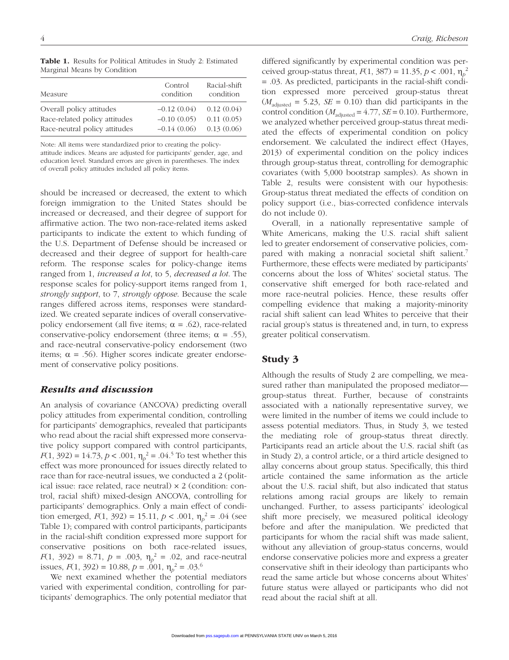| Measure                       | Control<br>condition | Racial-shift<br>condition |
|-------------------------------|----------------------|---------------------------|
| Overall policy attitudes      | $-0.12(0.04)$        | 0.12(0.04)                |
| Race-related policy attitudes | $-0.10(0.05)$        | 0.11(0.05)                |
| Race-neutral policy attitudes | $-0.14(0.06)$        | 0.13(0.06)                |

Table 1. Results for Political Attitudes in Study 2: Estimated Marginal Means by Condition

Note: All items were standardized prior to creating the policyattitude indices. Means are adjusted for participants' gender, age, and

education level. Standard errors are given in parentheses. The index of overall policy attitudes included all policy items.

should be increased or decreased, the extent to which foreign immigration to the United States should be increased or decreased, and their degree of support for affirmative action. The two non-race-related items asked participants to indicate the extent to which funding of the U.S. Department of Defense should be increased or decreased and their degree of support for health-care reform. The response scales for policy-change items ranged from 1, *increased a lot*, to 5, *decreased a lot*. The response scales for policy-support items ranged from 1, *strongly support*, to 7, *strongly oppose*. Because the scale ranges differed across items, responses were standardized. We created separate indices of overall conservativepolicy endorsement (all five items;  $\alpha = .62$ ), race-related conservative-policy endorsement (three items;  $\alpha = .55$ ), and race-neutral conservative-policy endorsement (two items;  $\alpha = .56$ ). Higher scores indicate greater endorsement of conservative policy positions.

# *Results and discussion*

An analysis of covariance (ANCOVA) predicting overall policy attitudes from experimental condition, controlling for participants' demographics, revealed that participants who read about the racial shift expressed more conservative policy support compared with control participants, *F*(1, 392) = 14.73, *p* < .001,  $\eta_p^2$  = .04.<sup>5</sup> To test whether this effect was more pronounced for issues directly related to race than for race-neutral issues, we conducted a 2 (political issue: race related, race neutral) × 2 (condition: control, racial shift) mixed-design ANCOVA, controlling for participants' demographics. Only a main effect of condition emerged,  $F(1, 392) = 15.11$ ,  $p < .001$ ,  $\eta_p^2 = .04$  (see Table 1); compared with control participants, participants in the racial-shift condition expressed more support for conservative positions on both race-related issues, *F*(1, 392) = 8.71,  $p = .003$ ,  $\eta_p^2 = .02$ , and race-neutral issues,  $F(1, 392) = 10.88$ ,  $p = .001$ ,  $\eta_p^2 = .03$ .<sup>6</sup>

We next examined whether the potential mediators varied with experimental condition, controlling for participants' demographics. The only potential mediator that differed significantly by experimental condition was perceived group-status threat, *F*(1, 387) = 11.35, *p* < .001,  $η<sub>p</sub><sup>2</sup>$ = .03. As predicted, participants in the racial-shift condition expressed more perceived group-status threat  $(M<sub>adjusted</sub> = 5.23, SE = 0.10)$  than did participants in the control condition  $(M_{\text{adjusted}} = 4.77, SE = 0.10)$ . Furthermore, we analyzed whether perceived group-status threat mediated the effects of experimental condition on policy endorsement. We calculated the indirect effect (Hayes, 2013) of experimental condition on the policy indices through group-status threat, controlling for demographic covariates (with 5,000 bootstrap samples). As shown in Table 2, results were consistent with our hypothesis: Group-status threat mediated the effects of condition on policy support (i.e., bias-corrected confidence intervals do not include 0).

Overall, in a nationally representative sample of White Americans, making the U.S. racial shift salient led to greater endorsement of conservative policies, compared with making a nonracial societal shift salient.<sup>7</sup> Furthermore, these effects were mediated by participants' concerns about the loss of Whites' societal status. The conservative shift emerged for both race-related and more race-neutral policies. Hence, these results offer compelling evidence that making a majority-minority racial shift salient can lead Whites to perceive that their racial group's status is threatened and, in turn, to express greater political conservatism.

# Study 3

Although the results of Study 2 are compelling, we measured rather than manipulated the proposed mediator group-status threat. Further, because of constraints associated with a nationally representative survey, we were limited in the number of items we could include to assess potential mediators. Thus, in Study 3, we tested the mediating role of group-status threat directly. Participants read an article about the U.S. racial shift (as in Study 2), a control article, or a third article designed to allay concerns about group status. Specifically, this third article contained the same information as the article about the U.S. racial shift, but also indicated that status relations among racial groups are likely to remain unchanged. Further, to assess participants' ideological shift more precisely, we measured political ideology before and after the manipulation. We predicted that participants for whom the racial shift was made salient, without any alleviation of group-status concerns, would endorse conservative policies more and express a greater conservative shift in their ideology than participants who read the same article but whose concerns about Whites' future status were allayed or participants who did not read about the racial shift at all.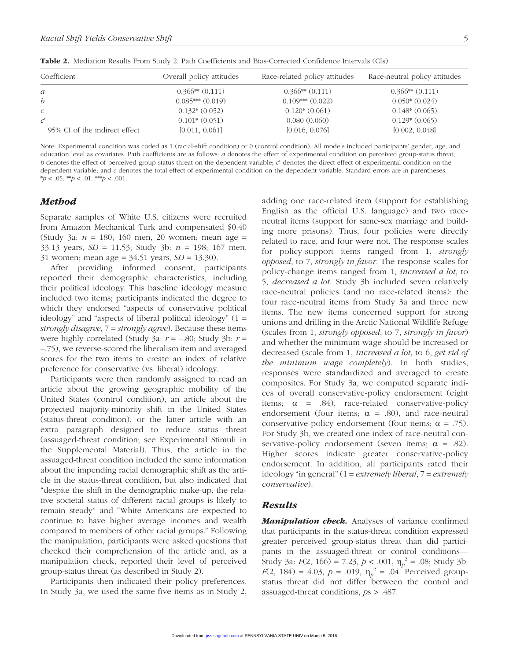| Coefficient                   | Overall policy attitudes | Race-related policy attitudes | Race-neutral policy attitudes |
|-------------------------------|--------------------------|-------------------------------|-------------------------------|
| $\mathfrak{a}$                | $0.366**$ $(0.111)$      | $0.366**$ $(0.111)$           | $0.366**$ $(0.111)$           |
| $\boldsymbol{b}$              | $0.085***(0.019)$        | $0.109***$ $(0.022)$          | $0.050*(0.024)$               |
| $\mathcal{C}$                 | $0.132*(0.052)$          | $0.120*(0.061)$               | $0.148*(0.065)$               |
|                               | $0.101*(0.051)$          | 0.080(0.060)                  | $0.129*(0.065)$               |
| 95% CI of the indirect effect | [0.011, 0.061]           | [0.016, 0.076]                | [0.002, 0.048]                |

Table 2. Mediation Results From Study 2: Path Coefficients and Bias-Corrected Confidence Intervals (CIs)

Note: Experimental condition was coded as 1 (racial-shift condition) or 0 (control condition). All models included participants' gender, age, and education level as covariates. Path coefficients are as follows: *a* denotes the effect of experimental condition on perceived group-status threat; *b* denotes the effect of perceived group-status threat on the dependent variable; *c*′ denotes the direct effect of experimental condition on the dependent variable; and *c* denotes the total effect of experimental condition on the dependent variable. Standard errors are in parentheses.  $* p < .05.$  \*\* $p < .01.$  \*\* $p < .001.$ 

# *Method*

Separate samples of White U.S. citizens were recruited from Amazon Mechanical Turk and compensated \$0.40 (Study 3a: *n* = 180; 160 men, 20 women; mean age = 33.13 years, *SD* = 11.53; Study 3b: *n* = 198; 167 men, 31 women; mean age = 34.51 years, *SD* = 13.30).

After providing informed consent, participants reported their demographic characteristics, including their political ideology. This baseline ideology measure included two items; participants indicated the degree to which they endorsed "aspects of conservative political ideology" and "aspects of liberal political ideology" (1 = *strongly disagree*, 7 = *strongly agree*). Because these items were highly correlated (Study 3a: *r* = –.80; Study 3b: *r* = –.75), we reverse-scored the liberalism item and averaged scores for the two items to create an index of relative preference for conservative (vs. liberal) ideology.

Participants were then randomly assigned to read an article about the growing geographic mobility of the United States (control condition), an article about the projected majority-minority shift in the United States (status-threat condition), or the latter article with an extra paragraph designed to reduce status threat (assuaged-threat condition; see Experimental Stimuli in the Supplemental Material). Thus, the article in the assuaged-threat condition included the same information about the impending racial demographic shift as the article in the status-threat condition, but also indicated that "despite the shift in the demographic make-up, the relative societal status of different racial groups is likely to remain steady" and "White Americans are expected to continue to have higher average incomes and wealth compared to members of other racial groups." Following the manipulation, participants were asked questions that checked their comprehension of the article and, as a manipulation check, reported their level of perceived group-status threat (as described in Study 2).

Participants then indicated their policy preferences. In Study 3a, we used the same five items as in Study 2, adding one race-related item (support for establishing English as the official U.S. language) and two raceneutral items (support for same-sex marriage and building more prisons). Thus, four policies were directly related to race, and four were not. The response scales for policy-support items ranged from 1, *strongly opposed*, to 7, *strongly in favor*. The response scales for policy-change items ranged from 1, *increased a lot*, to 5, *decreased a lot*. Study 3b included seven relatively race-neutral policies (and no race-related items): the four race-neutral items from Study 3a and three new items. The new items concerned support for strong unions and drilling in the Arctic National Wildlife Refuge (scales from 1, *strongly opposed*, to 7, *strongly in favor*) and whether the minimum wage should be increased or decreased (scale from 1, *increased a lot*, to 6, *get rid of the minimum wage completely*). In both studies, responses were standardized and averaged to create composites. For Study 3a, we computed separate indices of overall conservative-policy endorsement (eight items;  $\alpha$  = .84), race-related conservative-policy endorsement (four items;  $\alpha = .80$ ), and race-neutral conservative-policy endorsement (four items;  $\alpha = .75$ ). For Study 3b, we created one index of race-neutral conservative-policy endorsement (seven items;  $\alpha = .82$ ). Higher scores indicate greater conservative-policy endorsement. In addition, all participants rated their ideology "in general" (1 = *extremely liberal*, 7 = *extremely conservative*).

# *Results*

*Manipulation check.* Analyses of variance confirmed that participants in the status-threat condition expressed greater perceived group-status threat than did participants in the assuaged-threat or control conditions— Study 3a:  $F(2, 166) = 7.23$ ,  $p < .001$ ,  $\eta_p^2 = .08$ ; Study 3b: *F*(2, 184) = 4.03, *p* = .019,  $\eta_p^2$  = .04. Perceived groupstatus threat did not differ between the control and assuaged-threat conditions, *p*s > .487.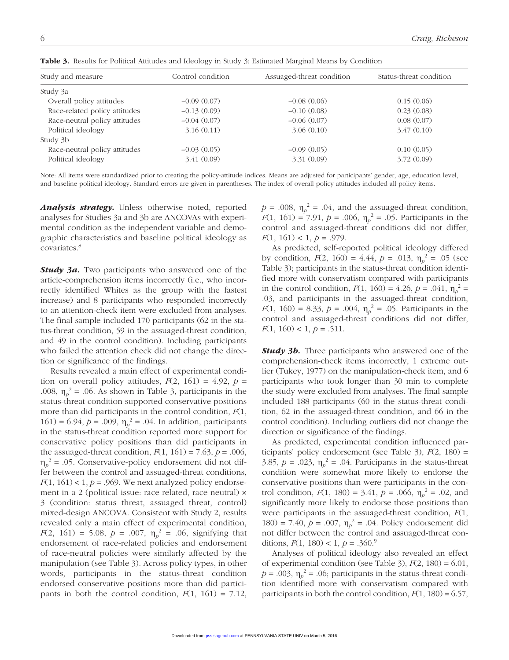| Study and measure             | Control condition | Assuaged-threat condition | Status-threat condition |  |
|-------------------------------|-------------------|---------------------------|-------------------------|--|
| Study 3a                      |                   |                           |                         |  |
| Overall policy attitudes      | $-0.09(0.07)$     | $-0.08(0.06)$             | 0.15(0.06)              |  |
| Race-related policy attitudes | $-0.13(0.09)$     | $-0.10(0.08)$             | 0.23(0.08)              |  |
| Race-neutral policy attitudes | $-0.04(0.07)$     | $-0.06(0.07)$             | 0.08(0.07)              |  |
| Political ideology            | 3.16(0.11)        | 3.06(0.10)                | 3.47(0.10)              |  |
| Study 3b                      |                   |                           |                         |  |
| Race-neutral policy attitudes | $-0.03(0.05)$     | $-0.09(0.05)$             | 0.10(0.05)              |  |
| Political ideology            | 3.41(0.09)        | 3.31(0.09)                | 3.72(0.09)              |  |

Table 3. Results for Political Attitudes and Ideology in Study 3: Estimated Marginal Means by Condition

Note: All items were standardized prior to creating the policy-attitude indices. Means are adjusted for participants' gender, age, education level, and baseline political ideology. Standard errors are given in parentheses. The index of overall policy attitudes included all policy items.

*Analysis strategy.* Unless otherwise noted, reported analyses for Studies 3a and 3b are ANCOVAs with experimental condition as the independent variable and demographic characteristics and baseline political ideology as covariates.8

*Study 3a.* Two participants who answered one of the article-comprehension items incorrectly (i.e., who incorrectly identified Whites as the group with the fastest increase) and 8 participants who responded incorrectly to an attention-check item were excluded from analyses. The final sample included 170 participants (62 in the status-threat condition, 59 in the assuaged-threat condition, and 49 in the control condition). Including participants who failed the attention check did not change the direction or significance of the findings.

Results revealed a main effect of experimental condition on overall policy attitudes,  $F(2, 161) = 4.92$ ,  $p =$ .008,  $\eta_p^2 = .06$ . As shown in Table 3, participants in the status-threat condition supported conservative positions more than did participants in the control condition, *F*(1, 161) = 6.94,  $p = .009$ ,  $\eta_p^2 = .04$ . In addition, participants in the status-threat condition reported more support for conservative policy positions than did participants in the assuaged-threat condition,  $F(1, 161) = 7.63$ ,  $p = .006$ ,  $\eta_p^2$  = .05. Conservative-policy endorsement did not differ between the control and assuaged-threat conditions,  $F(1, 161) < 1, p = .969$ . We next analyzed policy endorsement in a 2 (political issue: race related, race neutral) × 3 (condition: status threat, assuaged threat, control) mixed-design ANCOVA. Consistent with Study 2, results revealed only a main effect of experimental condition, *F*(2, 161) = 5.08, *p* = .007,  $\eta_p^2$  = .06, signifying that endorsement of race-related policies and endorsement of race-neutral policies were similarly affected by the manipulation (see Table 3). Across policy types, in other words, participants in the status-threat condition endorsed conservative positions more than did participants in both the control condition,  $F(1, 161) = 7.12$ ,

 $p = .008$ ,  $\eta_p^2 = .04$ , and the assuaged-threat condition, *F*(1, 161) = 7.91, *p* = .006,  $\eta_p^2$  = .05. Participants in the control and assuaged-threat conditions did not differ, *F*(1, 161) < 1, *p* = .979.

As predicted, self-reported political ideology differed by condition,  $F(2, 160) = 4.44$ ,  $p = .013$ ,  $\eta_p^2 = .05$  (see Table 3); participants in the status-threat condition identified more with conservatism compared with participants in the control condition,  $F(1, 160) = 4.26$ ,  $p = .041$ ,  $\eta_p^2 =$ .03, and participants in the assuaged-threat condition, *F*(1, 160) = 8.33, *p* = .004,  $\eta_p^2$  = .05. Participants in the control and assuaged-threat conditions did not differ,  $F(1, 160) < 1, p = .511.$ 

*Study 3b.* Three participants who answered one of the comprehension-check items incorrectly, 1 extreme outlier (Tukey, 1977) on the manipulation-check item, and 6 participants who took longer than 30 min to complete the study were excluded from analyses. The final sample included 188 participants (60 in the status-threat condition, 62 in the assuaged-threat condition, and 66 in the control condition). Including outliers did not change the direction or significance of the findings.

As predicted, experimental condition influenced participants' policy endorsement (see Table 3), *F*(2, 180) = 3.85,  $p = .023$ ,  $\eta_p^2 = .04$ . Participants in the status-threat condition were somewhat more likely to endorse the conservative positions than were participants in the control condition,  $F(1, 180) = 3.41$ ,  $p = .066$ ,  $\eta_p^2 = .02$ , and significantly more likely to endorse those positions than were participants in the assuaged-threat condition, *F*(1, 180) = 7.40,  $p = .007$ ,  $\eta_p^2 = .04$ . Policy endorsement did not differ between the control and assuaged-threat conditions,  $F(1, 180) < 1, p = .360$ .<sup>9</sup>

Analyses of political ideology also revealed an effect of experimental condition (see Table 3),  $F(2, 180) = 6.01$ ,  $p = .003$ ,  $\eta_p^2 = .06$ ; participants in the status-threat condition identified more with conservatism compared with participants in both the control condition,  $F(1, 180) = 6.57$ ,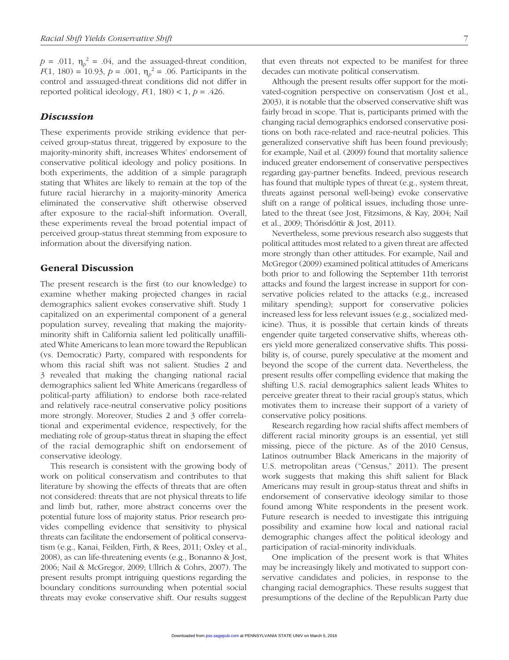$p = .011$ ,  $\eta_p^2 = .04$ , and the assuaged-threat condition, *F*(1, 180) = 10.93, *p* = .001,  $\eta_p^2$  = .06. Participants in the control and assuaged-threat conditions did not differ in reported political ideology,  $F(1, 180) < 1$ ,  $p = .426$ .

### *Discussion*

These experiments provide striking evidence that perceived group-status threat, triggered by exposure to the majority-minority shift, increases Whites' endorsement of conservative political ideology and policy positions. In both experiments, the addition of a simple paragraph stating that Whites are likely to remain at the top of the future racial hierarchy in a majority-minority America eliminated the conservative shift otherwise observed after exposure to the racial-shift information. Overall, these experiments reveal the broad potential impact of perceived group-status threat stemming from exposure to information about the diversifying nation.

# General Discussion

The present research is the first (to our knowledge) to examine whether making projected changes in racial demographics salient evokes conservative shift. Study 1 capitalized on an experimental component of a general population survey, revealing that making the majorityminority shift in California salient led politically unaffiliated White Americans to lean more toward the Republican (vs. Democratic) Party, compared with respondents for whom this racial shift was not salient. Studies 2 and 3 revealed that making the changing national racial demographics salient led White Americans (regardless of political-party affiliation) to endorse both race-related and relatively race-neutral conservative policy positions more strongly. Moreover, Studies 2 and 3 offer correlational and experimental evidence, respectively, for the mediating role of group-status threat in shaping the effect of the racial demographic shift on endorsement of conservative ideology.

This research is consistent with the growing body of work on political conservatism and contributes to that literature by showing the effects of threats that are often not considered: threats that are not physical threats to life and limb but, rather, more abstract concerns over the potential future loss of majority status. Prior research provides compelling evidence that sensitivity to physical threats can facilitate the endorsement of political conservatism (e.g., Kanai, Feilden, Firth, & Rees, 2011; Oxley et al., 2008), as can life-threatening events (e.g., Bonanno & Jost, 2006; Nail & McGregor, 2009; Ullrich & Cohrs, 2007). The present results prompt intriguing questions regarding the boundary conditions surrounding when potential social threats may evoke conservative shift. Our results suggest that even threats not expected to be manifest for three decades can motivate political conservatism.

Although the present results offer support for the motivated-cognition perspective on conservatism (Jost et al., 2003), it is notable that the observed conservative shift was fairly broad in scope. That is, participants primed with the changing racial demographics endorsed conservative positions on both race-related and race-neutral policies. This generalized conservative shift has been found previously; for example, Nail et al. (2009) found that mortality salience induced greater endorsement of conservative perspectives regarding gay-partner benefits. Indeed, previous research has found that multiple types of threat (e.g., system threat, threats against personal well-being) evoke conservative shift on a range of political issues, including those unrelated to the threat (see Jost, Fitzsimons, & Kay, 2004; Nail et al., 2009; Thórisdóttir & Jost, 2011).

Nevertheless, some previous research also suggests that political attitudes most related to a given threat are affected more strongly than other attitudes. For example, Nail and McGregor (2009) examined political attitudes of Americans both prior to and following the September 11th terrorist attacks and found the largest increase in support for conservative policies related to the attacks (e.g., increased military spending); support for conservative policies increased less for less relevant issues (e.g., socialized medicine). Thus, it is possible that certain kinds of threats engender quite targeted conservative shifts, whereas others yield more generalized conservative shifts. This possibility is, of course, purely speculative at the moment and beyond the scope of the current data. Nevertheless, the present results offer compelling evidence that making the shifting U.S. racial demographics salient leads Whites to perceive greater threat to their racial group's status, which motivates them to increase their support of a variety of conservative policy positions.

Research regarding how racial shifts affect members of different racial minority groups is an essential, yet still missing, piece of the picture. As of the 2010 Census, Latinos outnumber Black Americans in the majority of U.S. metropolitan areas ("Census," 2011). The present work suggests that making this shift salient for Black Americans may result in group-status threat and shifts in endorsement of conservative ideology similar to those found among White respondents in the present work. Future research is needed to investigate this intriguing possibility and examine how local and national racial demographic changes affect the political ideology and participation of racial-minority individuals.

One implication of the present work is that Whites may be increasingly likely and motivated to support conservative candidates and policies, in response to the changing racial demographics. These results suggest that presumptions of the decline of the Republican Party due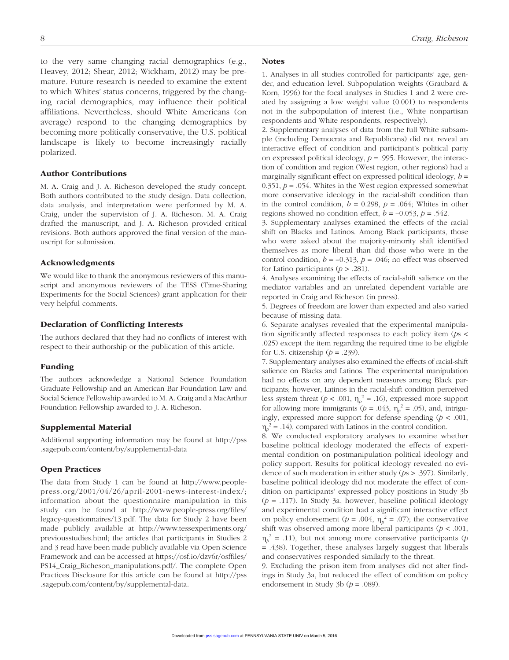to the very same changing racial demographics (e.g., Heavey, 2012; Shear, 2012; Wickham, 2012) may be premature. Future research is needed to examine the extent to which Whites' status concerns, triggered by the changing racial demographics, may influence their political affiliations. Nevertheless, should White Americans (on average) respond to the changing demographics by becoming more politically conservative, the U.S. political landscape is likely to become increasingly racially polarized.

### Author Contributions

M. A. Craig and J. A. Richeson developed the study concept. Both authors contributed to the study design. Data collection, data analysis, and interpretation were performed by M. A. Craig, under the supervision of J. A. Richeson. M. A. Craig drafted the manuscript, and J. A. Richeson provided critical revisions. Both authors approved the final version of the manuscript for submission.

#### Acknowledgments

We would like to thank the anonymous reviewers of this manuscript and anonymous reviewers of the TESS (Time-Sharing Experiments for the Social Sciences) grant application for their very helpful comments.

#### Declaration of Conflicting Interests

The authors declared that they had no conflicts of interest with respect to their authorship or the publication of this article.

#### Funding

The authors acknowledge a National Science Foundation Graduate Fellowship and an American Bar Foundation Law and Social Science Fellowship awarded to M. A. Craig and a MacArthur Foundation Fellowship awarded to J. A. Richeson.

#### Supplemental Material

Additional supporting information may be found at http://pss .sagepub.com/content/by/supplemental-data

#### Open Practices

The data from Study 1 can be found at http://www.peoplepress.org/2001/04/26/april-2001-news-interest-index/; information about the questionnaire manipulation in this study can be found at http://www.people-press.org/files/ legacy-questionnaires/13.pdf. The data for Study 2 have been made publicly available at http://www.tessexperiments.org/ previousstudies.html; the articles that participants in Studies 2 and 3 read have been made publicly available via Open Science Framework and can be accessed at https://osf.io/dzv6r/osffiles/ PS14\_Craig\_Richeson\_manipulations.pdf/. The complete Open Practices Disclosure for this article can be found at http://pss .sagepub.com/content/by/supplemental-data.

#### **Notes**

1. Analyses in all studies controlled for participants' age, gender, and education level. Subpopulation weights (Graubard & Korn, 1996) for the focal analyses in Studies 1 and 2 were created by assigning a low weight value (0.001) to respondents not in the subpopulation of interest (i.e., White nonpartisan respondents and White respondents, respectively).

2. Supplementary analyses of data from the full White subsample (including Democrats and Republicans) did not reveal an interactive effect of condition and participant's political party on expressed political ideology, *p* = .995. However, the interaction of condition and region (West region, other regions) had a marginally significant effect on expressed political ideology, *b* = 0.351,  $p = 0.054$ . Whites in the West region expressed somewhat more conservative ideology in the racial-shift condition than in the control condition,  $b = 0.298$ ,  $p = .064$ ; Whites in other regions showed no condition effect,  $b = -0.053$ ,  $p = 0.542$ .

3. Supplementary analyses examined the effects of the racial shift on Blacks and Latinos. Among Black participants, those who were asked about the majority-minority shift identified themselves as more liberal than did those who were in the control condition,  $b = -0.313$ ,  $p = .046$ ; no effect was observed for Latino participants (*p* > .281).

4. Analyses examining the effects of racial-shift salience on the mediator variables and an unrelated dependent variable are reported in Craig and Richeson (in press).

5. Degrees of freedom are lower than expected and also varied because of missing data.

6. Separate analyses revealed that the experimental manipulation significantly affected responses to each policy item (*p*s < .025) except the item regarding the required time to be eligible for U.S. citizenship  $(p = .239)$ .

7. Supplementary analyses also examined the effects of racial-shift salience on Blacks and Latinos. The experimental manipulation had no effects on any dependent measures among Black participants; however, Latinos in the racial-shift condition perceived less system threat ( $p < .001$ ,  $\eta_p^2 = .16$ ), expressed more support for allowing more immigrants  $(p = .043, \eta_p^2 = .05)$ , and, intriguingly, expressed more support for defense spending  $(p < .001, )$  $\eta_p^2 = .14$ ), compared with Latinos in the control condition.

8. We conducted exploratory analyses to examine whether baseline political ideology moderated the effects of experimental condition on postmanipulation political ideology and policy support. Results for political ideology revealed no evidence of such moderation in either study (*p*s > .397). Similarly, baseline political ideology did not moderate the effect of condition on participants' expressed policy positions in Study 3b (*p* = .117). In Study 3a, however, baseline political ideology and experimental condition had a significant interactive effect on policy endorsement ( $p = .004$ ,  $\eta_p^2 = .07$ ); the conservative shift was observed among more liberal participants (*p* < .001,  $\eta_p^2$  = .11), but not among more conservative participants (*p* = .438). Together, these analyses largely suggest that liberals and conservatives responded similarly to the threat.

9. Excluding the prison item from analyses did not alter findings in Study 3a, but reduced the effect of condition on policy endorsement in Study 3b ( $p = .089$ ).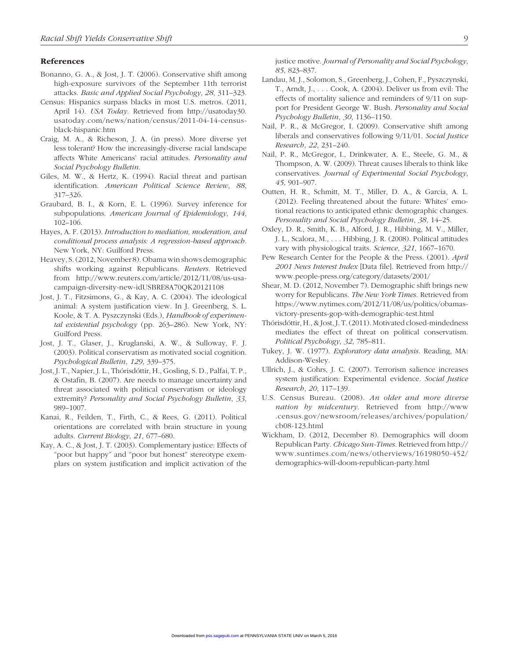#### References

- Bonanno, G. A., & Jost, J. T. (2006). Conservative shift among high-exposure survivors of the September 11th terrorist attacks. *Basic and Applied Social Psychology*, *28*, 311–323.
- Census: Hispanics surpass blacks in most U.S. metros. (2011, April 14). *USA Today*. Retrieved from http://usatoday30. usatoday.com/news/nation/census/2011-04-14-censusblack-hispanic.htm
- Craig, M. A., & Richeson, J. A. (in press). More diverse yet less tolerant? How the increasingly-diverse racial landscape affects White Americans' racial attitudes. *Personality and Social Psychology Bulletin*.
- Giles, M. W., & Hertz, K. (1994). Racial threat and partisan identification. *American Political Science Review*, *88*, 317–326.
- Graubard, B. I., & Korn, E. L. (1996). Survey inference for subpopulations. *American Journal of Epidemiology*, *144*, 102–106.
- Hayes, A. F. (2013). *Introduction to mediation, moderation, and conditional process analysis: A regression-based approach*. New York, NY: Guilford Press.
- Heavey, S. (2012, November 8). Obama win shows demographic shifts working against Republicans. *Reuters*. Retrieved from http://www.reuters.com/article/2012/11/08/us-usacampaign-diversity-new-idUSBRE8A70QK20121108
- Jost, J. T., Fitzsimons, G., & Kay, A. C. (2004). The ideological animal: A system justification view. In J. Greenberg, S. L. Koole, & T. A. Pyszczynski (Eds.), *Handbook of experimental existential psychology* (pp. 263–286). New York, NY: Guilford Press.
- Jost, J. T., Glaser, J., Kruglanski, A. W., & Sulloway, F. J. (2003). Political conservatism as motivated social cognition. *Psychological Bulletin*, *129*, 339–375.
- Jost, J. T., Napier, J. L., Thórisdóttir, H., Gosling, S. D., Palfai, T. P., & Ostafin, B. (2007). Are needs to manage uncertainty and threat associated with political conservatism or ideology extremity? *Personality and Social Psychology Bulletin*, *33*, 989–1007.
- Kanai, R., Feilden, T., Firth, C., & Rees, G. (2011). Political orientations are correlated with brain structure in young adults. *Current Biology*, *21*, 677–680.
- Kay, A. C., & Jost, J. T. (2003). Complementary justice: Effects of "poor but happy" and "poor but honest" stereotype exemplars on system justification and implicit activation of the

justice motive. *Journal of Personality and Social Psychology*, *85*, 823–837.

- Landau, M. J., Solomon, S., Greenberg, J., Cohen, F., Pyszczynski, T., Arndt, J., . . . Cook, A. (2004). Deliver us from evil: The effects of mortality salience and reminders of 9/11 on support for President George W. Bush. *Personality and Social Psychology Bulletin*, *30*, 1136–1150.
- Nail, P. R., & McGregor, I. (2009). Conservative shift among liberals and conservatives following 9/11/01. *Social Justice Research*, *22*, 231–240.
- Nail, P. R., McGregor, I., Drinkwater, A. E., Steele, G. M., & Thompson, A. W. (2009). Threat causes liberals to think like conservatives. *Journal of Experimental Social Psychology*, *45*, 901–907.
- Outten, H. R., Schmitt, M. T., Miller, D. A., & Garcia, A. L. (2012). Feeling threatened about the future: Whites' emotional reactions to anticipated ethnic demographic changes. *Personality and Social Psychology Bulletin*, *38*, 14–25.
- Oxley, D. R., Smith, K. B., Alford, J. R., Hibbing, M. V., Miller, J. L., Scalora, M., . . . Hibbing, J. R. (2008). Political attitudes vary with physiological traits. *Science*, *321*, 1667–1670.
- Pew Research Center for the People & the Press. (2001). *April 2001 News Interest Index* [Data file]. Retrieved from http:// www.people-press.org/category/datasets/2001/
- Shear, M. D. (2012, November 7). Demographic shift brings new worry for Republicans. *The New York Times*. Retrieved from https://www.nytimes.com/2012/11/08/us/politics/obamasvictory-presents-gop-with-demographic-test.html
- Thórisdóttir, H., & Jost, J. T. (2011). Motivated closed-mindedness mediates the effect of threat on political conservatism. *Political Psychology*, *32*, 785–811.
- Tukey, J. W. (1977). *Exploratory data analysis*. Reading, MA: Addison-Wesley.
- Ullrich, J., & Cohrs, J. C. (2007). Terrorism salience increases system justification: Experimental evidence. *Social Justice Research*, *20*, 117–139.
- U.S. Census Bureau. (2008). *An older and more diverse nation by midcentury*. Retrieved from http://www .census.gov/newsroom/releases/archives/population/ cb08-123.html
- Wickham, D. (2012, December 8). Demographics will doom Republican Party. *Chicago Sun-Times*. Retrieved from http:// www.suntimes.com/news/otherviews/16198050-452/ demographics-will-doom-republican-party.html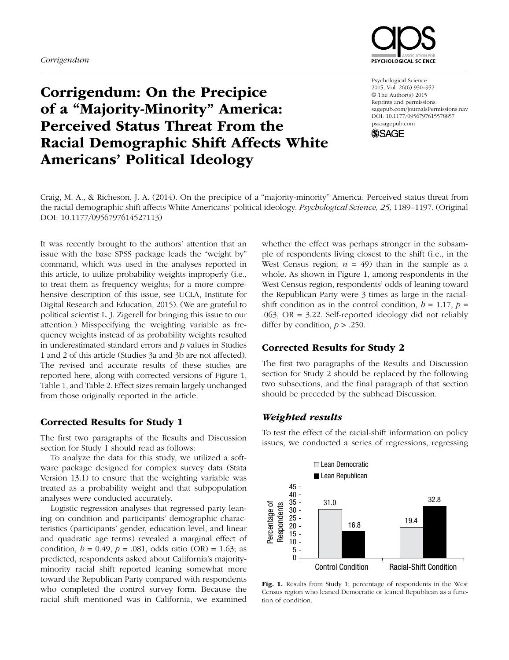

# Corrigendum: On the Precipice of a "Majority-Minority" America: Perceived Status Threat From the Racial Demographic Shift Affects White Americans' Political Ideology

Psychological Science 2015, Vol. 26(6) 950–952 © The Author(s) 2015 Reprints and permissions: sagepub.com/journalsPermissions.nav DOI: 10.1177/0956797615578857 pss.sagepub.com



Craig, M. A., & Richeson, J. A. (2014). On the precipice of a "majority-minority" America: Perceived status threat from the racial demographic shift affects White Americans' political ideology. *Psychological Science, 25*, 1189–1197. (Original DOI: 10.1177/0956797614527113)

It was recently brought to the authors' attention that an issue with the base SPSS package leads the "weight by" command, which was used in the analyses reported in this article, to utilize probability weights improperly (i.e., to treat them as frequency weights; for a more comprehensive description of this issue, see UCLA, Institute for Digital Research and Education, 2015). (We are grateful to political scientist L. J. Zigerell for bringing this issue to our attention.) Misspecifying the weighting variable as frequency weights instead of as probability weights resulted in underestimated standard errors and *p* values in Studies 1 and 2 of this article (Studies 3a and 3b are not affected). The revised and accurate results of these studies are reported here, along with corrected versions of Figure 1, Table 1, and Table 2. Effect sizes remain largely unchanged from those originally reported in the article.

# Corrected Results for Study 1

The first two paragraphs of the Results and Discussion section for Study 1 should read as follows:

To analyze the data for this study, we utilized a software package designed for complex survey data (Stata Version 13.1) to ensure that the weighting variable was treated as a probability weight and that subpopulation analyses were conducted accurately.

Logistic regression analyses that regressed party leaning on condition and participants' demographic characteristics (participants' gender, education level, and linear and quadratic age terms) revealed a marginal effect of condition,  $b = 0.49$ ,  $p = .081$ , odds ratio (OR) = 1.63; as predicted, respondents asked about California's majorityminority racial shift reported leaning somewhat more toward the Republican Party compared with respondents who completed the control survey form. Because the racial shift mentioned was in California, we examined

whether the effect was perhaps stronger in the subsample of respondents living closest to the shift (i.e., in the West Census region;  $n = 49$ ) than in the sample as a whole. As shown in Figure 1, among respondents in the West Census region, respondents' odds of leaning toward the Republican Party were 3 times as large in the racialshift condition as in the control condition,  $b = 1.17$ ,  $p =$  $.063$ , OR = 3.22. Self-reported ideology did not reliably differ by condition,  $p > .250$ .<sup>1</sup>

# Corrected Results for Study 2

The first two paragraphs of the Results and Discussion section for Study 2 should be replaced by the following two subsections, and the final paragraph of that section should be preceded by the subhead Discussion.

# *Weighted results*

To test the effect of the racial-shift information on policy issues, we conducted a series of regressions, regressing



Fig. 1. Results from Study 1: percentage of respondents in the West Census region who leaned Democratic or leaned Republican as a function of condition.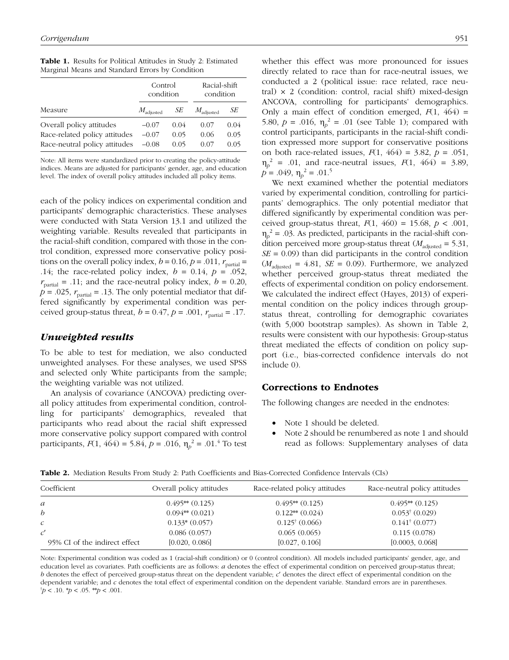Table 1. Results for Political Attitudes in Study 2: Estimated Marginal Means and Standard Errors by Condition

|                                                                                            | Control<br>condition          |                      | Racial-shift<br>condition |                      |
|--------------------------------------------------------------------------------------------|-------------------------------|----------------------|---------------------------|----------------------|
| Measure                                                                                    | $M_{\text{adjusted}}$         | SЕ                   | $M_{\text{adjusted}}$     | SЕ                   |
| Overall policy attitudes<br>Race-related policy attitudes<br>Race-neutral policy attitudes | $-0.07$<br>$-0.07$<br>$-0.08$ | 0.04<br>0.05<br>0.05 | 0.07<br>0.06<br>0.07      | 0.04<br>0.05<br>0.05 |

Note: All items were standardized prior to creating the policy-attitude indices. Means are adjusted for participants' gender, age, and education level. The index of overall policy attitudes included all policy items.

each of the policy indices on experimental condition and participants' demographic characteristics. These analyses were conducted with Stata Version 13.1 and utilized the weighting variable. Results revealed that participants in the racial-shift condition, compared with those in the control condition, expressed more conservative policy positions on the overall policy index,  $b = 0.16$ ,  $p = .011$ ,  $r_{\text{partial}} =$ .14; the race-related policy index,  $b = 0.14$ ,  $p = .052$ ,  $r_{\text{partial}} = .11$ ; and the race-neutral policy index,  $b = 0.20$ ,  $p = .025$ ,  $r_{\text{partial}} = .13$ . The only potential mediator that differed significantly by experimental condition was perceived group-status threat,  $b = 0.47$ ,  $p = .001$ ,  $r_{\text{partial}} = .17$ .

# *Unweighted results*

To be able to test for mediation, we also conducted unweighted analyses. For these analyses, we used SPSS and selected only White participants from the sample; the weighting variable was not utilized.

An analysis of covariance (ANCOVA) predicting overall policy attitudes from experimental condition, controlling for participants' demographics, revealed that participants who read about the racial shift expressed more conservative policy support compared with control participants,  $F(1, 464) = 5.84$ ,  $p = .016$ ,  $\eta_p^2 = .01$ .<sup>4</sup> To test whether this effect was more pronounced for issues directly related to race than for race-neutral issues, we conducted a 2 (political issue: race related, race neutral)  $\times$  2 (condition: control, racial shift) mixed-design ANCOVA, controlling for participants' demographics. Only a main effect of condition emerged,  $F(1, 464)$  = 5.80,  $p = .016$ ,  $\eta_p^2 = .01$  (see Table 1); compared with control participants, participants in the racial-shift condition expressed more support for conservative positions on both race-related issues, *F*(1, 464) = 3.82, *p* = .051,  $\eta_p^2$  = .01, and race-neutral issues,  $F(1, 464)$  = 3.89,  $p = .049, \eta_p^2 = .01^5$ 

We next examined whether the potential mediators varied by experimental condition, controlling for participants' demographics. The only potential mediator that differed significantly by experimental condition was perceived group-status threat, *F*(1, 460) = 15.68, *p* < .001,  $\eta_p^2$  = .03. As predicted, participants in the racial-shift condition perceived more group-status threat  $(M_{\text{adjusted}} = 5.31,$ *SE* = 0.09) than did participants in the control condition  $(M_{\text{adjusted}} = 4.81, \text{ } SE = 0.09)$ . Furthermore, we analyzed whether perceived group-status threat mediated the effects of experimental condition on policy endorsement. We calculated the indirect effect (Hayes, 2013) of experimental condition on the policy indices through groupstatus threat, controlling for demographic covariates (with 5,000 bootstrap samples). As shown in Table 2, results were consistent with our hypothesis: Group-status threat mediated the effects of condition on policy support (i.e., bias-corrected confidence intervals do not include 0).

# Corrections to Endnotes

The following changes are needed in the endnotes:

- Note 1 should be deleted.
- Note 2 should be renumbered as note 1 and should read as follows: Supplementary analyses of data

| Coefficient                   | Overall policy attitudes | Race-related policy attitudes   | Race-neutral policy attitudes |
|-------------------------------|--------------------------|---------------------------------|-------------------------------|
| a                             | $0.495**$ $(0.125)$      | $0.495$ ** $(0.125)$            | $0.495**$ $(0.125)$           |
| b.                            | $0.094**$ $(0.021)$      | $0.122$ <sup>**</sup> $(0.024)$ | $0.053^{\dagger}$ (0.029)     |
| $\mathcal{C}$                 | $0.133*(0.057)$          | $0.125^{\dagger}$ (0.066)       | $0.141^{\dagger}$ (0.077)     |
|                               | 0.086(0.057)             | 0.065(0.065)                    | 0.115(0.078)                  |
| 95% CI of the indirect effect | [0.020, 0.086]           | [0.027, 0.106]                  | [0.0003, 0.068]               |

Table 2. Mediation Results From Study 2: Path Coefficients and Bias-Corrected Confidence Intervals (CIs)

Note: Experimental condition was coded as 1 (racial-shift condition) or 0 (control condition). All models included participants' gender, age, and education level as covariates. Path coefficients are as follows: *a* denotes the effect of experimental condition on perceived group-status threat; *b* denotes the effect of perceived group-status threat on the dependent variable; *c*′ denotes the direct effect of experimental condition on the dependent variable; and *c* denotes the total effect of experimental condition on the dependent variable. Standard errors are in parentheses.  $\phi$  < .10.  $\phi$  < .05. \*\**p* < .001.